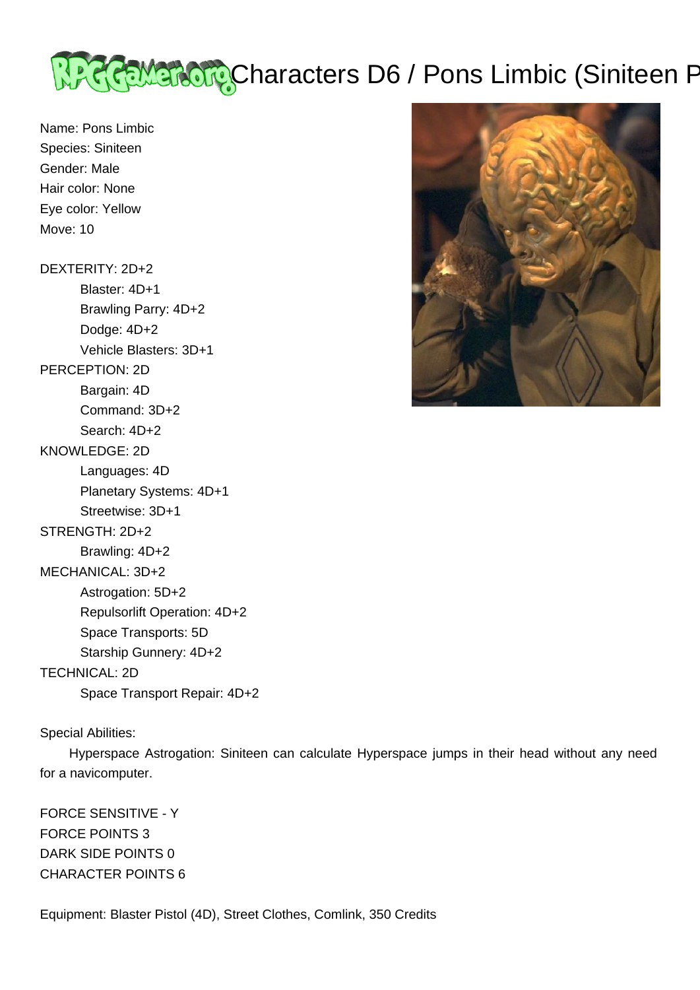

Name: Pons Limbic Species: Siniteen Gender: Male Hair color: None Eye color: Yellow Move: 10

DEXTERITY: 2D+2 Blaster: 4D+1 Brawling Parry: 4D+2 Dodge: 4D+2 Vehicle Blasters: 3D+1 PERCEPTION: 2D Bargain: 4D Command: 3D+2 Search: 4D+2 KNOWLEDGE: 2D Languages: 4D Planetary Systems: 4D+1 Streetwise: 3D+1 STRENGTH: 2D+2 Brawling: 4D+2 MECHANICAL: 3D+2 Astrogation: 5D+2 Repulsorlift Operation: 4D+2 Space Transports: 5D Starship Gunnery: 4D+2 TECHNICAL: 2D

Space Transport Repair: 4D+2

Special Abilities:

 Hyperspace Astrogation: Siniteen can calculate Hyperspace jumps in their head without any need for a navicomputer.

FORCE SENSITIVE - Y FORCE POINTS 3 DARK SIDE POINTS 0 CHARACTER POINTS 6

Equipment: Blaster Pistol (4D), Street Clothes, Comlink, 350 Credits